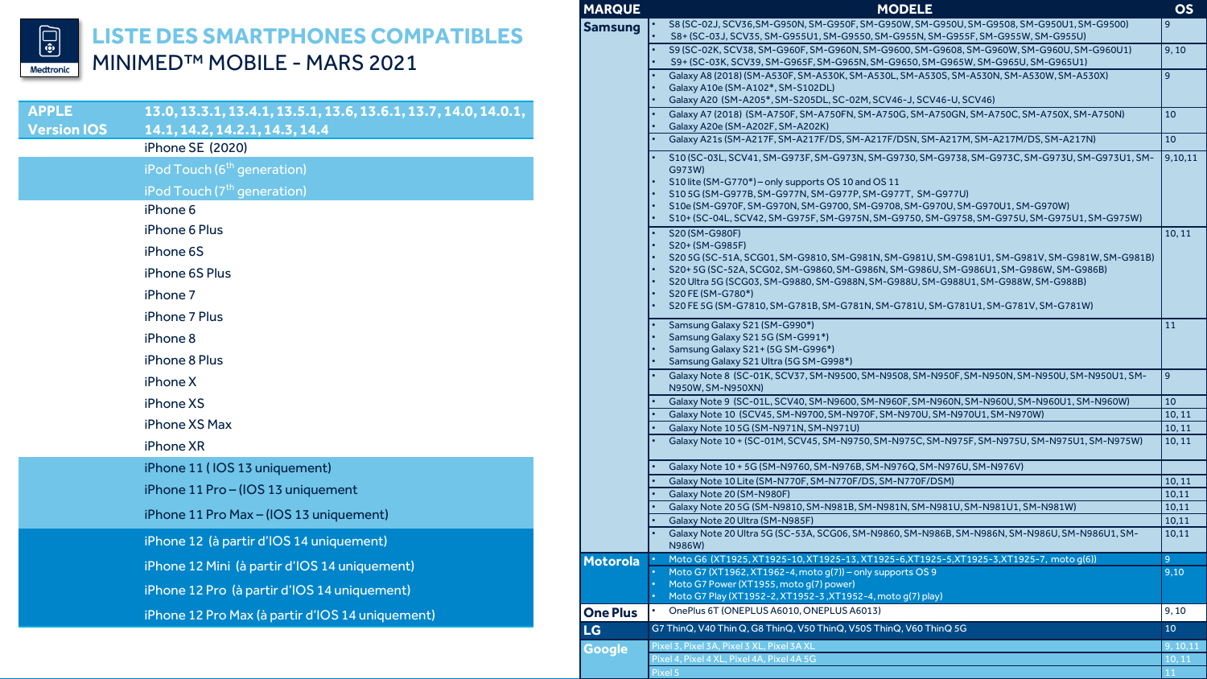

## **LISTE DES SMARTPHONES COMPATIBLES**  MINIMED™ MOBILE - MARS 2021

| <b>APPLE</b>       | 13.0, 13.3.1, 13.4.1, 13.5.1, 13.6, 13.6.1, 13.7, 14.0, 14.0.1, |  |  |  |
|--------------------|-----------------------------------------------------------------|--|--|--|
| <b>Version IOS</b> | 14.1, 14.2, 14.2.1, 14.3, 14.4<br>iPhone SE (2020)              |  |  |  |
|                    | iPod Touch (6 <sup>th</sup> generation)                         |  |  |  |
|                    | iPod Touch (7 <sup>th</sup> generation)                         |  |  |  |
|                    | iPhone 6                                                        |  |  |  |
|                    | iPhone 6 Plus                                                   |  |  |  |
|                    | iPhone 6S                                                       |  |  |  |
|                    | iPhone 6S Plus                                                  |  |  |  |
|                    | iPhone 7                                                        |  |  |  |
|                    | iPhone 7 Plus                                                   |  |  |  |
|                    | iPhone 8                                                        |  |  |  |
|                    | iPhone 8 Plus                                                   |  |  |  |
|                    | iPhone X                                                        |  |  |  |
|                    | iPhone XS                                                       |  |  |  |
|                    | iPhone XS Max                                                   |  |  |  |
|                    | iPhone XR                                                       |  |  |  |
|                    | iPhone 11 (IOS 13 uniquement)                                   |  |  |  |
|                    | iPhone 11 Pro - (IOS 13 uniquement                              |  |  |  |
|                    | iPhone 11 Pro Max - (IOS 13 uniquement)                         |  |  |  |
|                    | iPhone 12 (à partir d'IOS 14 uniquement)                        |  |  |  |
|                    | iPhone 12 Mini (à partir d'IOS 14 uniquement)                   |  |  |  |
|                    | iPhone 12 Pro (à partir d'IOS 14 uniquement)                    |  |  |  |
|                    | iPhone 12 Pro Max (à partir d'IOS 14 uniquement)                |  |  |  |

| <b>MARQUE</b>   | <b>MODELE</b>                                                                                                                                                                                                                                                                                                                                                                                                                                                   | <b>OS</b>        |  |  |
|-----------------|-----------------------------------------------------------------------------------------------------------------------------------------------------------------------------------------------------------------------------------------------------------------------------------------------------------------------------------------------------------------------------------------------------------------------------------------------------------------|------------------|--|--|
| <b>Samsung</b>  | S8 (SC-02J, SCV36,SM-G950N, SM-G950F, SM-G950W, SM-G950U, SM-G9508, SM-G950U1, SM-G9500)<br>S8+ (SC-03J, SCV35, SM-G955U1, SM-G9550, SM-G955N, SM-G955F, SM-G955W, SM-G955U)                                                                                                                                                                                                                                                                                    | 9                |  |  |
|                 | S9 (SC-02K, SCV38, SM-G960F, SM-G960N, SM-G9600, SM-G9608, SM-G960W, SM-G960U, SM-G960U1)<br>S9+ (SC-03K, SCV39, SM-G965F, SM-G965N, SM-G9650, SM-G965W, SM-G965U, SM-G965U1)                                                                                                                                                                                                                                                                                   |                  |  |  |
|                 | Galaxy A8 (2018) (SM-A530F, SM-A530K, SM-A530L, SM-A530S, SM-A530N, SM-A530W, SM-A530X)<br>Galaxy A10e (SM-A102*, SM-S102DL)<br>Galaxy A20 (SM-A205*, SM-S205DL, SC-02M, SCV46-J, SCV46-U, SCV46)                                                                                                                                                                                                                                                               | 9                |  |  |
|                 | Galaxy A7 (2018) (SM-A750F, SM-A750FN, SM-A750G, SM-A750GN, SM-A750C, SM-A750X, SM-A750N)<br>Galaxy A20e (SM-A202F, SM-A202K)                                                                                                                                                                                                                                                                                                                                   | 10               |  |  |
|                 | Galaxy A21s (SM-A217F, SM-A217F/DS, SM-A217F/DSN, SM-A217M, SM-A217M/DS, SM-A217N)                                                                                                                                                                                                                                                                                                                                                                              | 10               |  |  |
|                 | S10 (SC-03L, SCV41, SM-G973F, SM-G973N, SM-G9730, SM-G9738, SM-G973C, SM-G973U, SM-G973U1, SM-<br>G973W)<br>$\bullet$<br>S10 lite (SM-G770*) - only supports OS 10 and OS 11<br>S105G (SM-G977B, SM-G977N, SM-G977P, SM-G977T, SM-G977U)<br>S10e (SM-G970F, SM-G970N, SM-G9700, SM-G9708, SM-G970U, SM-G970U1, SM-G970W)<br>S10+ (SC-04L, SCV42, SM-G975F, SM-G975N, SM-G9750, SM-G9758, SM-G975U, SM-G975U1, SM-G975W)                                         | 9,10,11          |  |  |
|                 | S20 (SM-G980F)<br>$\bullet$<br>S20+ (SM-G985F)<br>S20 5G (SC-51A, SCG01, SM-G9810, SM-G981N, SM-G981U, SM-G981U1, SM-G981V, SM-G981W, SM-G981B)<br>S20+5G (SC-52A, SCG02, SM-G9860, SM-G986N, SM-G986U, SM-G986U1, SM-G986W, SM-G986B)<br>$\bullet$<br>S20 Ultra 5G (SCG03, SM-G9880, SM-G988N, SM-G988U, SM-G988U1, SM-G988W, SM-G988B)<br>$\bullet$<br>S20 FE (SM-G780*)<br>S20 FE 5G (SM-G7810, SM-G781B, SM-G781N, SM-G781U, SM-G781U1, SM-G781V, SM-G781W) | 10, 11           |  |  |
|                 | Samsung Galaxy S21 (SM-G990*)<br>Samsung Galaxy S215G (SM-G991*)<br>Samsung Galaxy S21+ (5G SM-G996*)<br>Samsung Galaxy S21 Ultra (5G SM-G998*)                                                                                                                                                                                                                                                                                                                 | 11               |  |  |
|                 | Galaxy Note 8 (SC-01K, SCV37, SM-N9500, SM-N9508, SM-N950F, SM-N950N, SM-N950U, SM-N950U1, SM-<br>N950W, SM-N950XN)                                                                                                                                                                                                                                                                                                                                             | 9 <sup>°</sup>   |  |  |
|                 | Galaxy Note 9 (SC-01L, SCV40, SM-N9600, SM-N960F, SM-N960N, SM-N960U, SM-N960U1, SM-N960W)                                                                                                                                                                                                                                                                                                                                                                      | 10               |  |  |
|                 | Galaxy Note 10 (SCV45, SM-N9700, SM-N970F, SM-N970U, SM-N970U1, SM-N970W)                                                                                                                                                                                                                                                                                                                                                                                       | 10, 11           |  |  |
|                 | Galaxy Note 10 5G (SM-N971N, SM-N971U)<br>Galaxy Note 10 + (SC-01M, SCV45, SM-N9750, SM-N975C, SM-N975F, SM-N975U, SM-N975U1, SM-N975W)                                                                                                                                                                                                                                                                                                                         | 10, 11<br>10, 11 |  |  |
|                 | Galaxy Note 10 + 5G (SM-N9760, SM-N976B, SM-N976Q, SM-N976U, SM-N976V)                                                                                                                                                                                                                                                                                                                                                                                          |                  |  |  |
|                 | Galaxy Note 10 Lite (SM-N770F, SM-N770F/DS, SM-N770F/DSM)                                                                                                                                                                                                                                                                                                                                                                                                       | 10, 11           |  |  |
|                 | Galaxy Note 20 (SM-N980F)                                                                                                                                                                                                                                                                                                                                                                                                                                       | 10,11            |  |  |
|                 | Galaxy Note 205G (SM-N9810, SM-N981B, SM-N981N, SM-N981U, SM-N981U1, SM-N981W)                                                                                                                                                                                                                                                                                                                                                                                  | 10,11            |  |  |
|                 | Galaxy Note 20 Ultra (SM-N985F)<br>Galaxy Note 20 Ultra 5G (SC-53A, SCG06, SM-N9860, SM-N986B, SM-N986N, SM-N986U, SM-N986U1, SM-<br>N986W)                                                                                                                                                                                                                                                                                                                     | 10,11<br>10,11   |  |  |
| <b>Motorola</b> | Moto G6 (XT1925, XT1925-10, XT1925-13, XT1925-6, XT1925-5, XT1925-3, XT1925-7, moto q(6))                                                                                                                                                                                                                                                                                                                                                                       | $\overline{9}$   |  |  |
|                 | Moto G7 (XT1962, XT1962-4, moto g(7)) - only supports OS 9<br>Moto G7 Power (XT1955, moto q(7) power)<br>$\bullet$<br>Moto G7 Play (XT1952-2, XT1952-3, XT1952-4, moto q(7) play)<br><b>v</b>                                                                                                                                                                                                                                                                   | 9,10             |  |  |
| <b>One Plus</b> | OnePlus 6T (ONEPLUS A6010, ONEPLUS A6013)                                                                                                                                                                                                                                                                                                                                                                                                                       | 9, 10            |  |  |
| <b>LG</b>       | G7 ThinQ, V40 Thin Q, G8 ThinQ, V50 ThinQ, V50S ThinQ, V60 ThinQ 5G                                                                                                                                                                                                                                                                                                                                                                                             | 10               |  |  |
| <b>Google</b>   | Pixel 3, Pixel 3A, Pixel 3 XL, Pixel 3A XL                                                                                                                                                                                                                                                                                                                                                                                                                      | 9, 10, 11        |  |  |
|                 | Pixel 4, Pixel 4 XL, Pixel 4A, Pixel 4A 5G                                                                                                                                                                                                                                                                                                                                                                                                                      | 10, 11           |  |  |
|                 | Pixel 5                                                                                                                                                                                                                                                                                                                                                                                                                                                         | 11               |  |  |